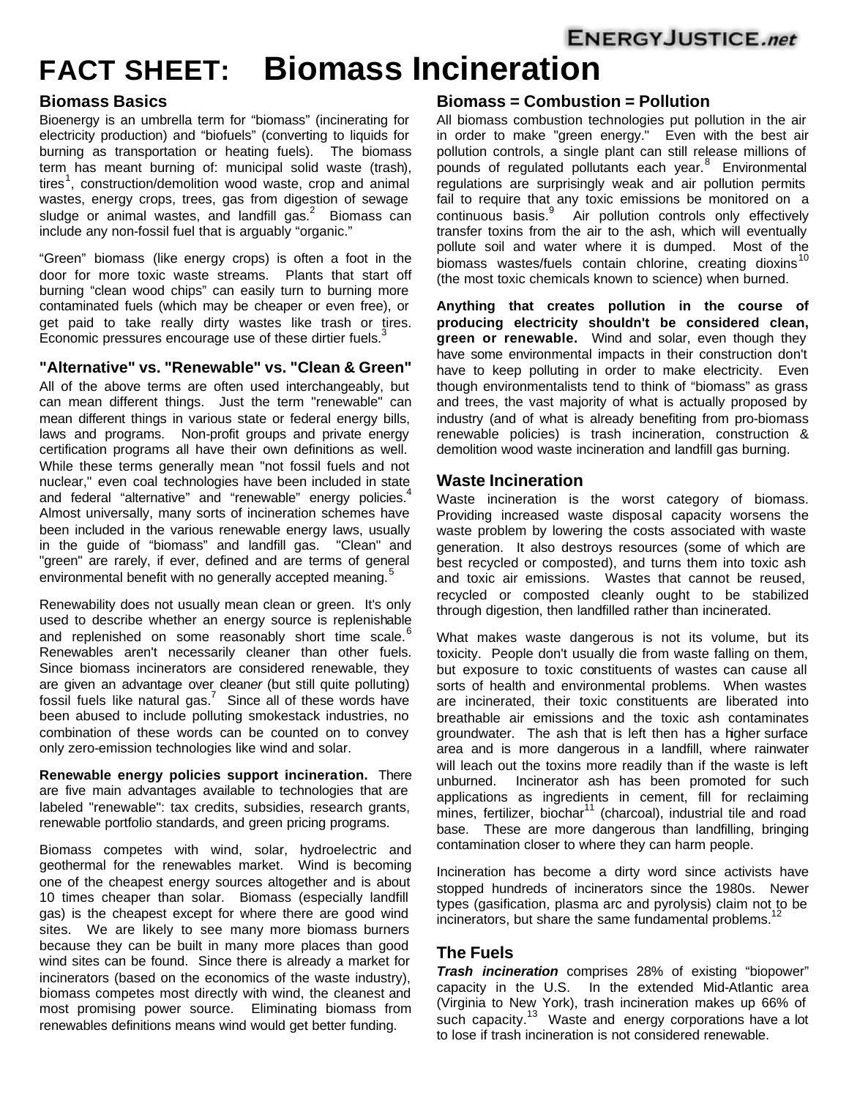# **FACT SHEET: Biomass Incineration**

#### **Biomass Basics**

Bioenergy is an umbrella term for "biomass" (incinerating for electricity production) and "biofuels" (converting to liquids for burning as transportation or heating fuels). The biomass term has meant burning of: municipal solid waste (trash), tires<sup>1</sup>, construction/demolition wood waste, crop and animal wastes, energy crops, trees, gas from digestion of sewage sludge or animal wastes, and landfill gas. $2$  Biomass can include any non-fossil fuel that is arguably "organic."

"Green" biomass (like energy crops) is often a foot in the door for more toxic waste streams. Plants that start off burning "clean wood chips" can easily turn to burning more contaminated fuels (which may be cheaper or even free), or get paid to take really dirty wastes like trash or tires. Economic pressures encourage use of these dirtier fuels.

#### **"Alternative" vs. "Renewable" vs. "Clean & Green"**

All of the above terms are often used interchangeably, but can mean different things. Just the term "renewable" can mean different things in various state or federal energy bills, laws and programs. Non-profit groups and private energy certification programs all have their own definitions as well. While these terms generally mean "not fossil fuels and not nuclear," even coal technologies have been included in state and federal "alternative" and "renewable" energy policies. Almost universally, many sorts of incineration schemes have been included in the various renewable energy laws, usually in the guide of "biomass" and landfill gas. "Clean" and "green" are rarely, if ever, defined and are terms of general environmental benefit with no generally accepted meaning.<sup>5</sup>

Renewability does not usually mean clean or green. It's only used to describe whether an energy source is replenishable and replenished on some reasonably short time scale.<sup>6</sup> Renewables aren't necessarily cleaner than other fuels. Since biomass incinerators are considered renewable, they are given an advantage over clean*er* (but still quite polluting) fossil fuels like natural gas.<sup>7</sup> Since all of these words have been abused to include polluting smokestack industries, no combination of these words can be counted on to convey only zero-emission technologies like wind and solar.

**Renewable energy policies support incineration.** There are five main advantages available to technologies that are labeled "renewable": tax credits, subsidies, research grants, renewable portfolio standards, and green pricing programs.

Biomass competes with wind, solar, hydroelectric and geothermal for the renewables market. Wind is becoming one of the cheapest energy sources altogether and is about 10 times cheaper than solar. Biomass (especially landfill gas) is the cheapest except for where there are good wind sites. We are likely to see many more biomass burners because they can be built in many more places than good wind sites can be found. Since there is already a market for incinerators (based on the economics of the waste industry), biomass competes most directly with wind, the cleanest and most promising power source. Eliminating biomass from renewables definitions means wind would get better funding.

## **Biomass = Combustion = Pollution**

All biomass combustion technologies put pollution in the air in order to make "green energy." Even with the best air pollution controls, a single plant can still release millions of pounds of regulated pollutants each year.<sup>8</sup> Environmental regulations are surprisingly weak and air pollution permits fail to require that any toxic emissions be monitored on a continuous basis. <sup>9</sup> Air pollution controls only effectively transfer toxins from the air to the ash, which will eventually pollute soil and water where it is dumped. Most of the biomass wastes/fuels contain chlorine, creating dioxins<sup>10</sup> (the most toxic chemicals known to science) when burned.

**Anything that creates pollution in the course of producing electricity shouldn't be considered clean, green or renewable.** Wind and solar, even though they have some environmental impacts in their construction don't have to keep polluting in order to make electricity. Even though environmentalists tend to think of "biomass" as grass and trees, the vast majority of what is actually proposed by industry (and of what is already benefiting from pro-biomass renewable policies) is trash incineration, construction & demolition wood waste incineration and landfill gas burning.

#### **Waste Incineration**

Waste incineration is the worst category of biomass. Providing increased waste disposal capacity worsens the waste problem by lowering the costs associated with waste generation. It also destroys resources (some of which are best recycled or composted), and turns them into toxic ash and toxic air emissions. Wastes that cannot be reused, recycled or composted cleanly ought to be stabilized through digestion, then landfilled rather than incinerated.

What makes waste dangerous is not its volume, but its toxicity. People don't usually die from waste falling on them, but exposure to toxic constituents of wastes can cause all sorts of health and environmental problems. When wastes are incinerated, their toxic constituents are liberated into breathable air emissions and the toxic ash contaminates groundwater. The ash that is left then has a higher surface area and is more dangerous in a landfill, where rainwater will leach out the toxins more readily than if the waste is left unburned. Incinerator ash has been promoted for such applications as ingredients in cement, fill for reclaiming mines, fertilizer, biochar $11$  (charcoal), industrial tile and road base. These are more dangerous than landfilling, bringing contamination closer to where they can harm people.

Incineration has become a dirty word since activists have stopped hundreds of incinerators since the 1980s. Newer types (gasification, plasma arc and pyrolysis) claim not to be incinerators, but share the same fundamental problems.<sup>1</sup>

## **The Fuels**

*Trash incineration* comprises 28% of existing "biopower" capacity in the U.S. In the extended Mid-Atlantic area (Virginia to New York), trash incineration makes up 66% of such capacity.<sup>13</sup> Waste and energy corporations have a lot to lose if trash incineration is not considered renewable.